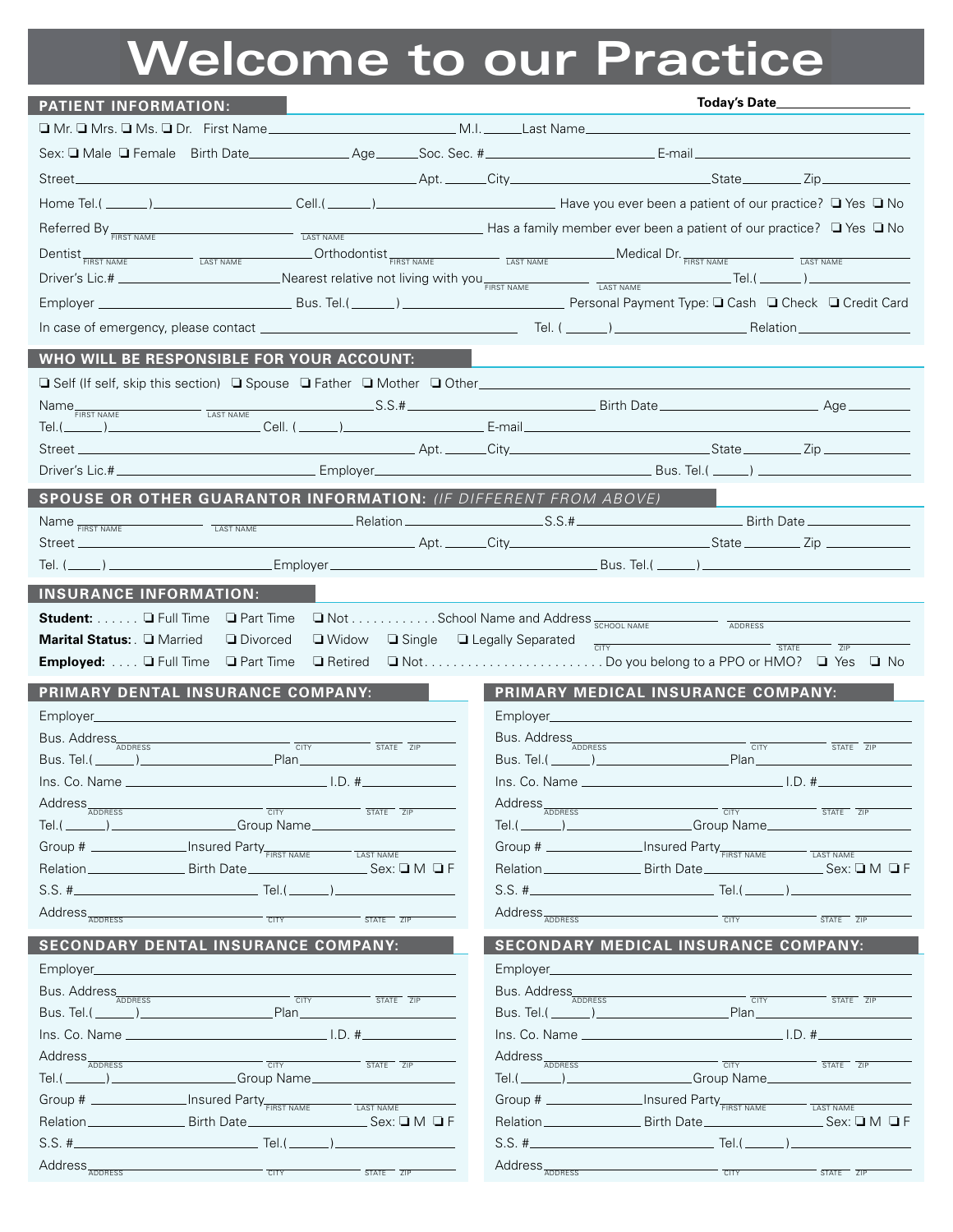## **Welcome to our Practice**

| <b>PATIENT INFORMATION:</b>                                                                                                                                                                                                                                                                                                                                                                                                                                                                                                                                                              |                                                                                                           |
|------------------------------------------------------------------------------------------------------------------------------------------------------------------------------------------------------------------------------------------------------------------------------------------------------------------------------------------------------------------------------------------------------------------------------------------------------------------------------------------------------------------------------------------------------------------------------------------|-----------------------------------------------------------------------------------------------------------|
|                                                                                                                                                                                                                                                                                                                                                                                                                                                                                                                                                                                          |                                                                                                           |
|                                                                                                                                                                                                                                                                                                                                                                                                                                                                                                                                                                                          |                                                                                                           |
|                                                                                                                                                                                                                                                                                                                                                                                                                                                                                                                                                                                          |                                                                                                           |
|                                                                                                                                                                                                                                                                                                                                                                                                                                                                                                                                                                                          |                                                                                                           |
| Referred By $F_{\overline{FIRST NAME}}$ These measurement is a stand of our practice? These $\Box$ Yes $\Box$ No                                                                                                                                                                                                                                                                                                                                                                                                                                                                         |                                                                                                           |
| Dentist <sub>FIRST NAME</sub> LAST NAME <b>COLLUCTER</b> Orthodontist <sub>FIRST NAME LAST NAME Medical Dr. FIRST NAME LAST NAME</sub>                                                                                                                                                                                                                                                                                                                                                                                                                                                   |                                                                                                           |
| Driver's Lic.# ________________________________Nearest relative not living with you FIRST NAME TAST NAME TAST NAME                                                                                                                                                                                                                                                                                                                                                                                                                                                                       |                                                                                                           |
|                                                                                                                                                                                                                                                                                                                                                                                                                                                                                                                                                                                          |                                                                                                           |
|                                                                                                                                                                                                                                                                                                                                                                                                                                                                                                                                                                                          |                                                                                                           |
|                                                                                                                                                                                                                                                                                                                                                                                                                                                                                                                                                                                          |                                                                                                           |
| WHO WILL BE RESPONSIBLE FOR YOUR ACCOUNT:                                                                                                                                                                                                                                                                                                                                                                                                                                                                                                                                                |                                                                                                           |
|                                                                                                                                                                                                                                                                                                                                                                                                                                                                                                                                                                                          |                                                                                                           |
|                                                                                                                                                                                                                                                                                                                                                                                                                                                                                                                                                                                          |                                                                                                           |
| Tel.(____                                                                                                                                                                                                                                                                                                                                                                                                                                                                                                                                                                                |                                                                                                           |
|                                                                                                                                                                                                                                                                                                                                                                                                                                                                                                                                                                                          |                                                                                                           |
| SPOUSE OR OTHER GUARANTOR INFORMATION: (IF DIFFERENT FROM ABOVE)                                                                                                                                                                                                                                                                                                                                                                                                                                                                                                                         |                                                                                                           |
|                                                                                                                                                                                                                                                                                                                                                                                                                                                                                                                                                                                          |                                                                                                           |
|                                                                                                                                                                                                                                                                                                                                                                                                                                                                                                                                                                                          |                                                                                                           |
|                                                                                                                                                                                                                                                                                                                                                                                                                                                                                                                                                                                          |                                                                                                           |
| <b>INSURANCE INFORMATION:</b>                                                                                                                                                                                                                                                                                                                                                                                                                                                                                                                                                            |                                                                                                           |
| Student: <b>Q</b> Full Time                                                                                                                                                                                                                                                                                                                                                                                                                                                                                                                                                              |                                                                                                           |
| <b>D</b> Part Time<br>Marital Status: <b>Q Married</b><br><b>Divorced</b><br>$\Box$ Widow                                                                                                                                                                                                                                                                                                                                                                                                                                                                                                | ■ Not School Name and Address <sub>SCHOOL NAME</sub><br>ADDRESS<br>$\Box$ Single $\Box$ Legally Separated |
| Employed: <b>Q</b> Full Time<br><b>Q</b> Part Time<br>□ Retired                                                                                                                                                                                                                                                                                                                                                                                                                                                                                                                          | $\overline{\text{CITY}}$ $\overline{\text{STATE}}$<br>ZIP                                                 |
|                                                                                                                                                                                                                                                                                                                                                                                                                                                                                                                                                                                          |                                                                                                           |
| PRIMARY DENTAL INSURANCE COMPANY:                                                                                                                                                                                                                                                                                                                                                                                                                                                                                                                                                        | PRIMARY MEDICAL INSURANCE COMPANY:                                                                        |
|                                                                                                                                                                                                                                                                                                                                                                                                                                                                                                                                                                                          |                                                                                                           |
| Bus. Address<br>$\overline{C}$ $\overline{C}$ $\overline{C}$ $\overline{C}$ $\overline{C}$ $\overline{C}$ $\overline{C}$ $\overline{C}$ $\overline{C}$ $\overline{C}$ $\overline{C}$ $\overline{C}$ $\overline{C}$ $\overline{C}$ $\overline{C}$ $\overline{C}$ $\overline{C}$ $\overline{C}$ $\overline{C}$ $\overline{C}$ $\overline{C}$ $\overline{C}$ $\overline{C}$ $\overline{C}$ $\overline{$<br>_Plan__________________________                                                                                                                                                  | Bus. Address<br>$\overline{C}$ CITY<br>$\overline{\text{STATE}}$ $\overline{\text{ZIP}}$                  |
|                                                                                                                                                                                                                                                                                                                                                                                                                                                                                                                                                                                          |                                                                                                           |
| Address <sub>ADDRESS</sub>                                                                                                                                                                                                                                                                                                                                                                                                                                                                                                                                                               | Address <sub>ADDRESS</sub>                                                                                |
| CITY<br>STATE ZIP<br>Tel.(\integration_\) \compare \compare \compare \compare \compare \compare \compare \compare \compare \compare \compare \compare \compare \compare \compare \compare \compare \compare \compare \compare \compare \compare \co                                                                                                                                                                                                                                                                                                                                      | CITY<br>STATE ZIP<br>$Tel.(\_\_))$<br>Group Name__________                                                |
| Group # ________________ Insured Party FIRST NAME<br><b>LAST NAME</b>                                                                                                                                                                                                                                                                                                                                                                                                                                                                                                                    | Group # _________________Insured Party FIRST NAME                                                         |
| Relation _______________________ Birth Date___<br>$Sex: \square M \square F$                                                                                                                                                                                                                                                                                                                                                                                                                                                                                                             | <b>LAST NAME</b><br>$Sex: \square M \square F$<br>Relation _________________________ Birth Date_          |
|                                                                                                                                                                                                                                                                                                                                                                                                                                                                                                                                                                                          | . Tel.( $\qquad \qquad$                                                                                   |
| Address <sub>ADDRESS</sub><br><b>CITY</b><br>STATE ZIP                                                                                                                                                                                                                                                                                                                                                                                                                                                                                                                                   | Address <sub>ADDRESS</sub><br><b>CITY</b><br>STATE ZIP                                                    |
| <b>SECONDARY DENTAL INSURANCE COMPANY:</b>                                                                                                                                                                                                                                                                                                                                                                                                                                                                                                                                               | <b>SECONDARY MEDICAL INSURANCE COMPANY:</b>                                                               |
| Employer_                                                                                                                                                                                                                                                                                                                                                                                                                                                                                                                                                                                | Employer_                                                                                                 |
| Bus. Address                                                                                                                                                                                                                                                                                                                                                                                                                                                                                                                                                                             |                                                                                                           |
| $\overline{\phantom{a}}$ $\overline{\phantom{a}}$ $\overline{\phantom{a}}$ $\overline{\phantom{a}}$ $\overline{\phantom{a}}$ $\overline{\phantom{a}}$ $\overline{\phantom{a}}$ $\overline{\phantom{a}}$ $\overline{\phantom{a}}$ $\overline{\phantom{a}}$ $\overline{\phantom{a}}$ $\overline{\phantom{a}}$ $\overline{\phantom{a}}$ $\overline{\phantom{a}}$ $\overline{\phantom{a}}$ $\overline{\phantom{a}}$ $\overline{\phantom{a}}$ $\overline{\phantom{a}}$ $\overline{\$<br>STATE 7IP<br><u>Bus. Tel.(_______)________________________</u><br><u>Plan _______________________</u> | Bus. Address<br>$ \overline{C}$ $\overline{C}$<br>STATE ZIP                                               |
| $I.D.$ #                                                                                                                                                                                                                                                                                                                                                                                                                                                                                                                                                                                 | $1.D.$ #                                                                                                  |
| Address <sub>ADDRESS</sub>                                                                                                                                                                                                                                                                                                                                                                                                                                                                                                                                                               | Address <sub>ADDRESS</sub>                                                                                |
| $T = T$<br>STATE ZIP                                                                                                                                                                                                                                                                                                                                                                                                                                                                                                                                                                     | CTY<br>STATE ZIP<br>Group Name<br>Tel.(_______)_____________________                                      |
| Group # ________________ Insured Party FIRST NAME                                                                                                                                                                                                                                                                                                                                                                                                                                                                                                                                        | Group # _________________Insured Party FIRST NAME                                                         |
| LAST NAME                                                                                                                                                                                                                                                                                                                                                                                                                                                                                                                                                                                | LAST NAME<br>Birth Date<br>$Sec: \square M \square F$<br>Relation.                                        |
|                                                                                                                                                                                                                                                                                                                                                                                                                                                                                                                                                                                          | _ Tel.( _______ ) __                                                                                      |
| Address <sub>ADDRESS</sub><br><b>CITY</b><br>STATE ZIP                                                                                                                                                                                                                                                                                                                                                                                                                                                                                                                                   | Address <sub>ADDRESS</sub><br>CITY<br>STATE ZIP                                                           |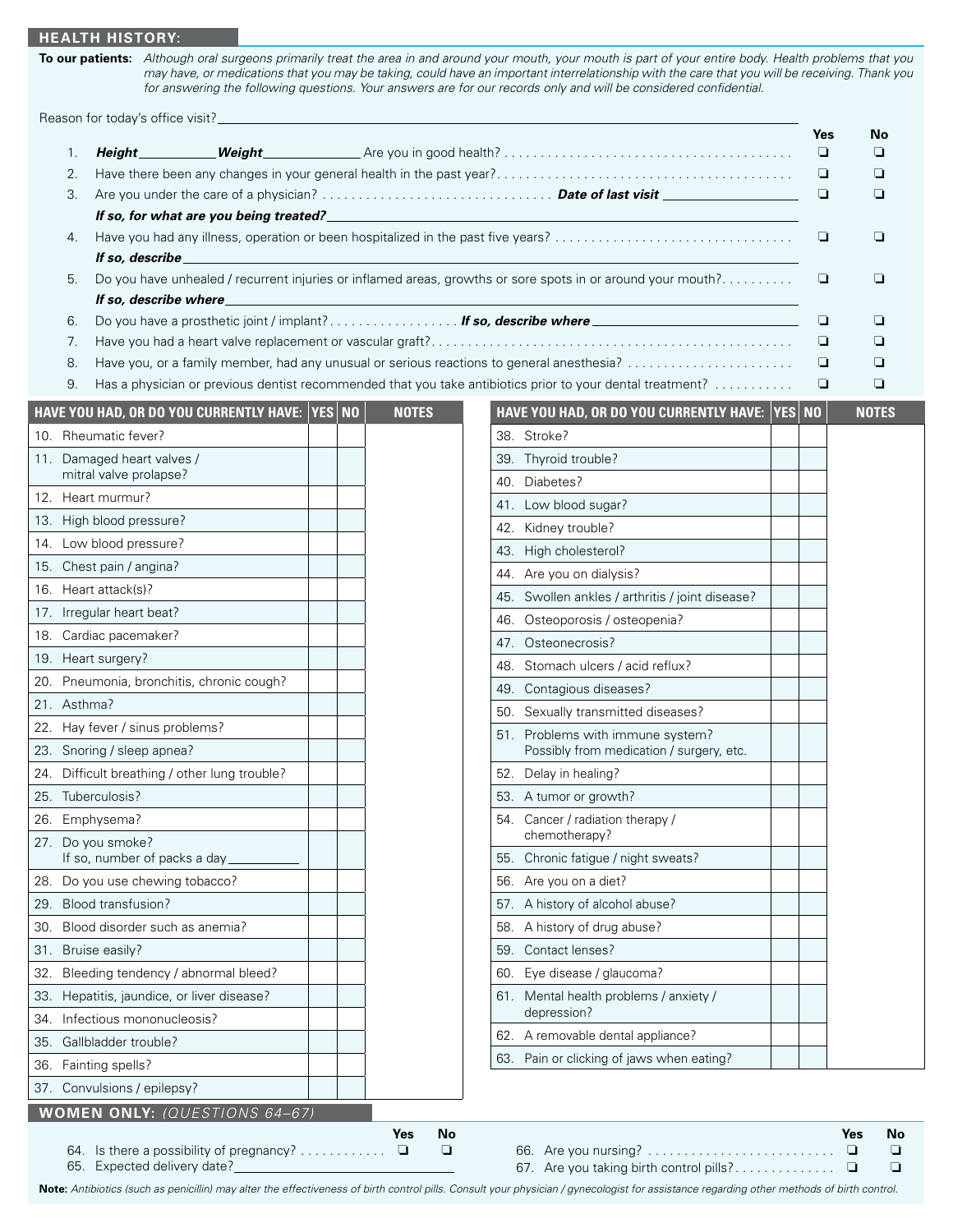## **HEALTH HISTORY:**

**To our patients:** *Although oral surgeons primarily treat the area in and around your mouth, your mouth is part of your entire body. Health problems that you may have, or medications that you may be taking, could have an important interrelationship with the care that you will be receiving. Thank you for answering the following questions. Your answers are for our records only and will be considered confidential.*

Reason for today's office visit?

|             |                                                                         |              |                  |                                                                                                                                                                                                        | Yes    | No                    |
|-------------|-------------------------------------------------------------------------|--------------|------------------|--------------------------------------------------------------------------------------------------------------------------------------------------------------------------------------------------------|--------|-----------------------|
| 1.          | Height_                                                                 | $\_Weiaht\_$ |                  |                                                                                                                                                                                                        | $\Box$ | ◘                     |
| 2.          |                                                                         |              |                  |                                                                                                                                                                                                        | ❏      | ❏                     |
| 3.          | If so, for what are you being treated?                                  |              |                  |                                                                                                                                                                                                        | ❏      | ❏                     |
| 4.          |                                                                         |              |                  |                                                                                                                                                                                                        | ❏      | ❏                     |
|             | If so, describe                                                         |              |                  |                                                                                                                                                                                                        |        |                       |
| 5.          |                                                                         |              |                  | Do you have unhealed / recurrent injuries or inflamed areas, growths or sore spots in or around your mouth?                                                                                            | ❏      | ❏                     |
|             | If so, describe where                                                   |              |                  |                                                                                                                                                                                                        |        |                       |
| 6.          |                                                                         |              |                  | Do you have a prosthetic joint / implant? If so, describe where _________________________                                                                                                              | ❏      | ❏                     |
| 7.          |                                                                         |              |                  |                                                                                                                                                                                                        | ❏      | ❏                     |
| 8.<br>9.    |                                                                         |              |                  | Have you, or a family member, had any unusual or serious reactions to general anesthesia?<br>Has a physician or previous dentist recommended that you take antibiotics prior to your dental treatment? | ❏<br>❏ | ❏<br>$\Box$           |
|             |                                                                         |              |                  |                                                                                                                                                                                                        |        |                       |
|             | HAVE YOU HAD, OR DO YOU CURRENTLY HAVE: YES NO                          |              | <b>NOTES</b>     | HAVE YOU HAD, OR DO YOU CURRENTLY HAVE: YES NO                                                                                                                                                         |        | <b>NOTES</b>          |
|             | 10. Rheumatic fever?                                                    |              |                  | 38. Stroke?                                                                                                                                                                                            |        |                       |
|             | 11. Damaged heart valves /<br>mitral valve prolapse?                    |              |                  | 39. Thyroid trouble?                                                                                                                                                                                   |        |                       |
|             | 12. Heart murmur?                                                       |              |                  | 40. Diabetes?                                                                                                                                                                                          |        |                       |
|             | 13. High blood pressure?                                                |              |                  | 41. Low blood sugar?                                                                                                                                                                                   |        |                       |
|             | 14. Low blood pressure?                                                 |              |                  | 42. Kidney trouble?                                                                                                                                                                                    |        |                       |
|             | 15. Chest pain / angina?                                                |              |                  | 43. High cholesterol?                                                                                                                                                                                  |        |                       |
|             | 16. Heart attack(s)?                                                    |              |                  | 44. Are you on dialysis?                                                                                                                                                                               |        |                       |
|             | 17. Irregular heart beat?                                               |              |                  | 45. Swollen ankles / arthritis / joint disease?                                                                                                                                                        |        |                       |
|             | 18. Cardiac pacemaker?                                                  |              |                  | Osteoporosis / osteopenia?<br>46.<br>47. Osteonecrosis?                                                                                                                                                |        |                       |
|             | 19. Heart surgery?                                                      |              |                  | 48. Stomach ulcers / acid reflux?                                                                                                                                                                      |        |                       |
|             | 20. Pneumonia, bronchitis, chronic cough?                               |              |                  | 49. Contagious diseases?                                                                                                                                                                               |        |                       |
| 21. Asthma? |                                                                         |              |                  | 50. Sexually transmitted diseases?                                                                                                                                                                     |        |                       |
|             | 22. Hay fever / sinus problems?                                         |              |                  | 51. Problems with immune system?                                                                                                                                                                       |        |                       |
|             | 23. Snoring / sleep apnea?                                              |              |                  | Possibly from medication / surgery, etc.                                                                                                                                                               |        |                       |
|             | 24. Difficult breathing / other lung trouble?                           |              |                  | 52. Delay in healing?                                                                                                                                                                                  |        |                       |
|             | 25. Tuberculosis?                                                       |              |                  | 53. A tumor or growth?                                                                                                                                                                                 |        |                       |
|             | 26. Emphysema?                                                          |              |                  | 54. Cancer / radiation therapy /                                                                                                                                                                       |        |                       |
|             | 27. Do you smoke?                                                       |              |                  | chemotherapy?                                                                                                                                                                                          |        |                       |
|             | If so, number of packs a day_<br>28. Do you use chewing tobacco?        |              |                  | Chronic fatigue / night sweats?<br>55.                                                                                                                                                                 |        |                       |
|             |                                                                         |              |                  | Are you on a diet?<br>56.                                                                                                                                                                              |        |                       |
|             | 29. Blood transfusion?<br>30. Blood disorder such as anemia?            |              |                  | 57. A history of alcohol abuse?<br>A history of drug abuse?<br>58.                                                                                                                                     |        |                       |
|             | 31. Bruise easily?                                                      |              |                  | Contact lenses?<br>59.                                                                                                                                                                                 |        |                       |
|             | 32. Bleeding tendency / abnormal bleed?                                 |              |                  | Eye disease / glaucoma?<br>60.                                                                                                                                                                         |        |                       |
|             | 33. Hepatitis, jaundice, or liver disease?                              |              |                  | 61. Mental health problems / anxiety /                                                                                                                                                                 |        |                       |
|             | 34. Infectious mononucleosis?                                           |              |                  | depression?                                                                                                                                                                                            |        |                       |
|             | 35. Gallbladder trouble?                                                |              |                  | 62. A removable dental appliance?                                                                                                                                                                      |        |                       |
|             | 36. Fainting spells?                                                    |              |                  | 63. Pain or clicking of jaws when eating?                                                                                                                                                              |        |                       |
|             | 37. Convulsions / epilepsy?                                             |              |                  |                                                                                                                                                                                                        |        |                       |
|             | <b>WOMEN ONLY:</b> (QUESTIONS 64-67)                                    |              |                  |                                                                                                                                                                                                        |        |                       |
|             |                                                                         |              | <b>No</b><br>Yes |                                                                                                                                                                                                        |        | No<br>Yes             |
|             | 64. Is there a possibility of pregnancy?<br>65. Expected delivery date? |              | $\Box$<br>$\Box$ | 67. Are you taking birth control pills?                                                                                                                                                                |        | $\Box$<br>❏<br>❏<br>⊔ |

**Note:** *Antibiotics (such as penicillin) may alter the effectiveness of birth control pills. Consult your physician / gynecologist for assistance regarding other methods of birth control.*